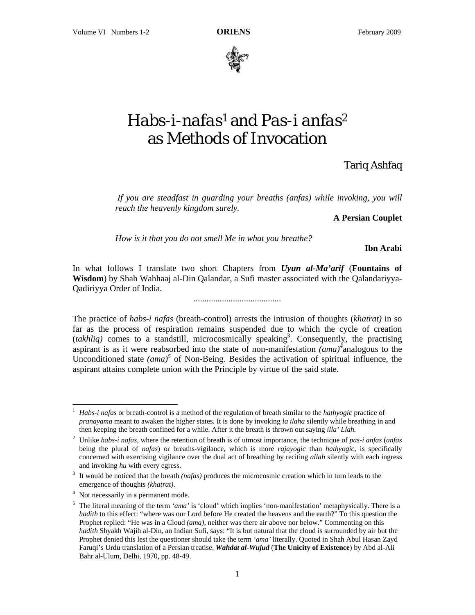

## *Habs-i-nafas*1 and *Pas-i anfas*2 as Methods of Invocation

Tariq Ashfaq

If you are steadfast in guarding your breaths (anfas) while invoking, you will *reach the heavenly kingdom surely.* 

**A Persian Couplet** 

*How is it that you do not smell Me in what you breathe?*

**Ibn Arabi** 

In what follows I translate two short Chapters from *Uyun al-Ma'arif* (**Fountains of Wisdom**) by Shah Wahhaaj al-Din Qalandar, a Sufi master associated with the Qalandariyya-Qadiriyya Order of India.

........................................

The practice of *habs-i nafas* (breath-control) arrests the intrusion of thoughts (*khatrat)* in so far as the process of respiration remains suspended due to which the cycle of creation (*takhliq*) comes to a standstill, microcosmically speaking<sup>3</sup>. Consequently, the practising aspirant is as it were reabsorbed into the state of non-manifestation  $\overline{(ama)}^{\overline{4}}$  analogous to the Unconditioned state  $(ama)^5$  of Non-Being. Besides the activation of spiritual influence, the aspirant attains complete union with the Principle by virtue of the said state.

 $\overline{a}$ 

<sup>1</sup> *Habs-i nafas* or breath-control is a method of the regulation of breath similar to the *hathyogic* practice of *pranayama* meant to awaken the higher states. It is done by invoking *la ilaha* silently while breathing in and then keeping the breath confined for a while. After it the breath is thrown out saying *illa' Llah.* 

<sup>2</sup> Unlike *habs-i nafas,* where the retention of breath is of utmost importance, the technique of *pas-i anfas* (*anfas*  being the plural of *nafas*) or breaths-vigilance, which is more *rajayogic* than *hathyogic,* is specifically concerned with exercising vigilance over the dual act of breathing by reciting *allah* silently with each ingress and invoking *hu* with every egress.

<sup>&</sup>lt;sup>3</sup> It would be noticed that the breath *(nafas)* produces the microcosmic creation which in turn leads to the emergence of thoughts *(khatrat)*.

Not necessarily in a permanent mode.

<sup>&</sup>lt;sup>5</sup> The literal meaning of the term *'ama'* is 'cloud' which implies 'non-manifestation' metaphysically. There is a *hadith* to this effect: "where was our Lord before He created the heavens and the earth?" To this question the Prophet replied: "He was in a Cloud *(ama)*, neither was there air above nor below." Commenting on this *hadith* Shyakh Wajih al-Din, an Indian Sufi, says: "It is but natural that the cloud is surrounded by air but the Prophet denied this lest the questioner should take the term *'ama'* literally. Quoted in Shah Abul Hasan Zayd Faruqi's Urdu translation of a Persian treatise, *Wahdat al-Wujud* (**The Unicity of Existence**) by Abd al-Ali Bahr al-Ulum, Delhi, 1970, pp. 48-49.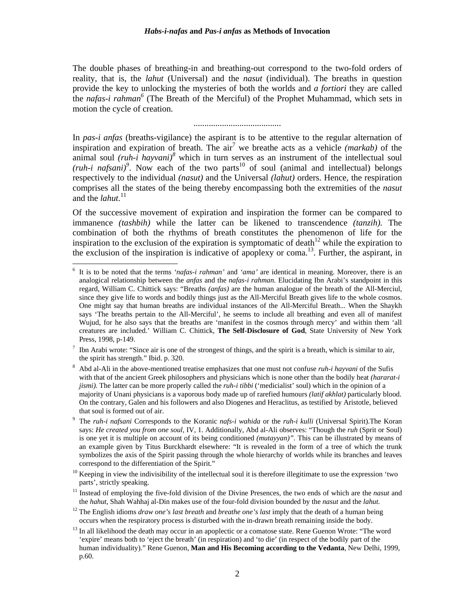The double phases of breathing-in and breathing-out correspond to the two-fold orders of reality, that is, the *lahut* (Universal) and the *nasut* (individual). The breaths in question provide the key to unlocking the mysteries of both the worlds and *a fortiori* they are called the *nafas-i rahman6* (The Breath of the Merciful) of the Prophet Muhammad, which sets in motion the cycle of creation.

........................................

In *pas-i anfas* (breaths-vigilance) the aspirant is to be attentive to the regular alternation of inspiration and expiration of breath. The  $\arctan^7$  we breathe acts as a vehicle *(markab)* of the animal soul *(ruh-i hayvani)*<sup>8</sup> which in turn serves as an instrument of the intellectual soul *(ruh-i nafsani)*<sup>9</sup>. Now each of the two parts<sup>10</sup> of soul (animal and intellectual) belongs respectively to the individual *(nasut)* and the Universal *(lahut)* orders. Hence, the respiration comprises all the states of the being thereby encompassing both the extremities of the *nasut*  and the *lahut*. 11

Of the successive movement of expiration and inspiration the former can be compared to immanence *(tashbih)* while the latter can be likened to transcendence *(tanzih).* The combination of both the rhythms of breath constitutes the phenomenon of life for the inspiration to the exclusion of the expiration is symptomatic of death<sup>12</sup> while the expiration to the exclusion of the inspiration is indicative of apoplexy or coma.<sup>13</sup>. Further, the aspirant, in

 $\overline{a}$ 

7 Ibn Arabi wrote: "Since air is one of the strongest of things, and the spirit is a breath, which is similar to air, the spirit has strength." Ibid. p. 320.

<sup>6</sup> It is to be noted that the terms *'nafas-i rahman'* and *'ama'* are identical in meaning. Moreover, there is an analogical relationship between the *anfas* and the *nafas-i rahman.* Elucidating Ibn Arabi's standpoint in this regard, William C. Chittick says: "Breaths *(anfas)* are the human analogue of the breath of the All-Merciul, since they give life to words and bodily things just as the All-Merciful Breath gives life to the whole cosmos. One might say that human breaths are individual instances of the All-Merciful Breath... When the Shaykh says 'The breaths pertain to the All-Merciful', he seems to include all breathing and even all of manifest Wujud, for he also says that the breaths are 'manifest in the cosmos through mercy' and within them 'all creatures are included.' William C. Chittick, **The Self-Disclosure of God**, State University of New York Press, 1998, p-149.

<sup>8</sup> Abd al-Ali in the above-mentioned treatise emphasizes that one must not confuse *ruh-i hayvani* of the Sufis with that of the ancient Greek philosophers and physicians which is none other than the bodily heat *(hararat-i jismi).* The latter can be more properly called the *ruh-i tibbi* ('medicialist' soul) which in the opinion of a majority of Unani physicians is a vaporous body made up of rarefied humours *(latif akhlat)* particularly blood. On the contrary, Galen and his followers and also Diogenes and Heraclitus, as testified by Aristotle, believed that soul is formed out of air.

<sup>9</sup> The *ruh-i nafsani* Corresponds to the Koranic *nafs-i wahida* or the *ruh-i kulli* (Universal Spirit).The Koran says: *He created you from one soul,* IV, 1. Additionally, Abd al-Ali observes: "Though the *ruh* (Sprit or Soul) is one yet it is multiple on account of its being conditioned *(mutayyan)".* This can be illustrated by means of an example given by Titus Burckhardt elsewhere: "It is revealed in the form of a tree of which the trunk symbolizes the axis of the Spirit passing through the whole hierarchy of worlds while its branches and leaves correspond to the differentiation of the Spirit."

 $10$  Keeping in view the indivisibility of the intellectual soul it is therefore illegitimate to use the expression 'two parts', strictly speaking.

<sup>&</sup>lt;sup>11</sup> Instead of employing the five-fold division of the Divine Presences, the two ends of which are the *nasut* and the *hahut*, Shah Wahhaj al-Din makes use of the four-fold division bounded by the *nasut* and the *lahut.* 

<sup>12</sup> The English idioms *draw one's last breath* and *breathe one's last* imply that the death of a human being occurs when the respiratory process is disturbed with the in-drawn breath remaining inside the body.

<sup>&</sup>lt;sup>13</sup> In all likelihood the death may occur in an apoplectic or a comatose state. Rene Guenon Wrote: "The word 'expire' means both to 'eject the breath' (in respiration) and 'to die' (in respect of the bodily part of the human individuality)." Rene Guenon, **Man and His Becoming according to the Vedanta**, New Delhi, 1999, p.60.